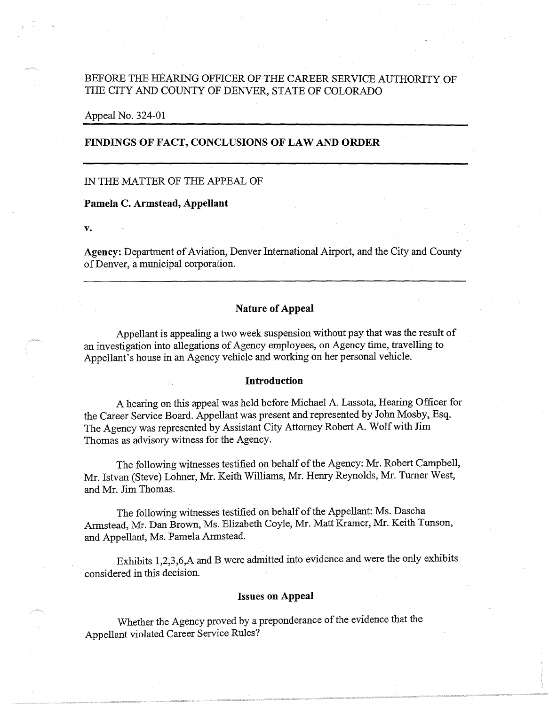# BEFORE THE HEARING OFFICER OF THE CAREER SERVICE AUTHORITY OF THE CITY AND COUNTY OF DENVER, STATE OF COLORADO

### Appeal No. 324-01

### **FINDINGS OF FACT, CONCLUSIONS OF LAW AND ORDER**

# IN THE MATTER OF THE APPEAL OF

#### **Pamela C. Armstead, Appellant**

**v.** 

**Agency:** Department of Aviation, Denver International Airport, and the City and County of Denver, a municipal corporation.

# **Nature of Appeal**

Appellant is appealing a two week suspension without pay that was the result of an investigation into allegations of Agency employees, on Agency time, travelling to Appellant's house in an Agency vehicle and working on her personal vehicle.

#### **Introduction**

A hearing on this appeal was held before Michael A. Lassota, Hearing Officer for the Career Service Board. Appellant was present and represented by John Mosby, Esq. The Agency was represented by Assistant City Attorney Robert A. Wolf with **Jim**  Thomas as advisory witness for the Agency.

The following witnesses testified on behalf of the Agency: Mr. Robert Campbell, Mr. Istvan (Steve) Lohner, Mr. Keith Williams, Mr. Henry Reynolds, Mr. Turner West, and Mr. Jim Thomas.

The following witnesses testified on behalf of the Appellant: Ms. Dascha Armstead, Mr. Dan Brown, Ms. Elizabeth Coyle, Mr. Matt Kramer, Mr. Keith Tunson, and Appellant, Ms. Pamela Armstead.

Exhibits 1,2,3,6,A and B were admitted into evidence and were the only exhibits considered in this decision.

#### **Issues on Appeal**

Whether the Agency proved by a preponderance of the evidence that the Appellant violated Career Service Rules?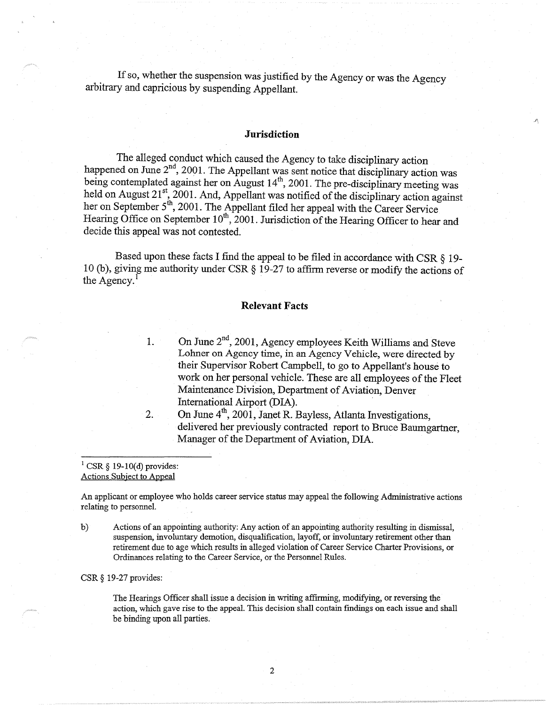If so, whether the suspension was justified by the Agency or was the Agency arbitrary and capricious by suspending Appellant.

## **Jurisdiction**

 $\mathcal{L}_1$ 

The alleged conduct which caused the Agency to take disciplinary action happened on June  $2<sup>nd</sup>$ , 2001. The Appellant was sent notice that disciplinary action was being contemplated against her on August  $14<sup>th</sup>$ , 2001. The pre-disciplinary meeting was held on August  $21^{st}$ , 2001. And, Appellant was notified of the disciplinary action against her on September 5<sup>th</sup>, 2001. The Appellant filed her appeal with the Career Service Hearing Office on September 10<sup>th</sup>, 2001. Jurisdiction of the Hearing Officer to hear and decide this appeal was not contested.

Based upon these facts I find the appeal to be filed in accordance with CSR  $\S$  19-10 (b), giving me authority under CSR§ 19-27 to affirm reverse or modify the actions of the Agency. $<sup>1</sup>$ </sup>

### **Relevant Facts**

1. On June  $2<sup>nd</sup>$ , 2001, Agency employees Keith Williams and Steve Lohner on Agency time, in an Agency Vehicle, were directed by their Supervisor Robert Campbell, to go to Appellant's house to work on her personal vehicle. These are all employees of the Fleet Maintenance Division, Department of Aviation, Denver International Airport (DIA).

2. On June  $4<sup>th</sup>$ , 2001, Janet R. Bayless, Atlanta Investigations, delivered her previously contracted report to Bruce Baumgartner, Manager of the Department of Aviation, DIA.

#### $1 \text{CSR }$ § 19-10(d) provides: Actions Subject to Appeal

An applicant or employee who holds career service status may appeal the following Administrative actions relating to personnel.

b) Actions of an appointing authority: Any action of an appointing authority resulting in dismissal, suspension, involuntary demotion, disqualification, layoff, or involuntary retirement other than retirement due to age which results in alleged violation of Career Service Charter Provisions, or Ordinances relating to the Career Service, or the Personnel Rules.

#### CSR§ 19-27 provides:

The Hearings Officer shall issue a decision in writing affirming, modifying, or reversing the action, which gave rise to the appeal. This decision shall contain findings on each issue and shall be binding upon all parties.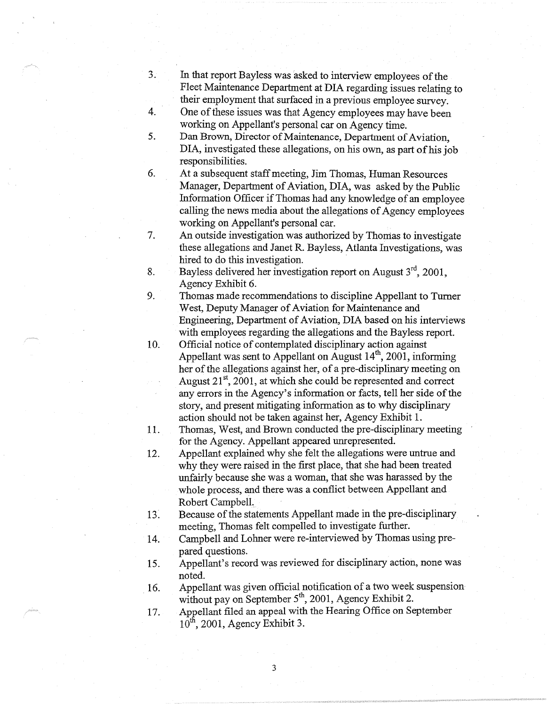- 3. In that report Bayless was asked to interview employees of the Fleet Maintenance Department at DIA regarding issues relating to their employment that surfaced in a previous employee survey.
- 4. One of these issues was that Agency employees may have been working on Appellant's personal car on Agency time.
- 5. Dan Brown, Director of Maintenance, Department of Aviation, DIA, investigated these allegations, on his own, as part of his job responsibilities.
- 6. At a subsequent staff meeting, Jim Thomas, Human Resources Manager, Department of Aviation, DIA, was asked by the Public Information Officer if Thomas had any knowledge of an employee calling the news media about the allegations of Agency employees working on Appellant's personal car.

7. An outside investigation was authorized by Thomas to investigate these allegations and Janet R. Bayless, Atlanta Investigations, was hired to do this investigation.

- 8. Bayless delivered her investigation report on August  $3<sup>rd</sup>$ , 2001, Agency Exhibit 6.
- 9. Thomas made recommendations to discipline Appellant to Turner West, Deputy Manager of Aviation for Maintenance and Engineering, Department of Aviation, DIA based on his interviews with employees regarding the allegations and the Bayless report.
- 10. Official notice of contemplated disciplinary action against Appellant was sent to Appellant on August  $14<sup>th</sup>$ , 2001, informing her of the allegations against her, of a pre-disciplinary meeting on August  $21<sup>st</sup>$ , 2001, at which she could be represented and correct any errors in the Agency's information or facts, tell her side of the story, and present mitigating information as to why disciplinary action should not be taken against her, Agency Exhibit 1.
- 11. Thomas, West, and Brown conducted the pre-disciplinary meeting for the Agency. Appellant appeared unrepresented.

12. Appellant explained why she felt the allegations were untrue and why they were raised in the first place, that she had been treated unfairly because she was a woman, that she was harassed by the whole process, and there was a conflict between Appellant and Robert Campbell.

- 13: Because of the statements Appellant made in the pre-disciplinary meeting, Thomas felt compelled to investigate further.
- 14. Campbell and Lohner were re-interviewed by Thomas using prepared questions.
- 15. Appellant's record was reviewed for disciplinary action, none was noted.
- 16. Appellant was given official notification of a two week suspension without pay on September  $5<sup>th</sup>$ , 2001, Agency Exhibit 2.
- 17. Appellant filed an appeal with the Hearing Office on September  $10^{th}$ , 2001, Agency Exhibit 3.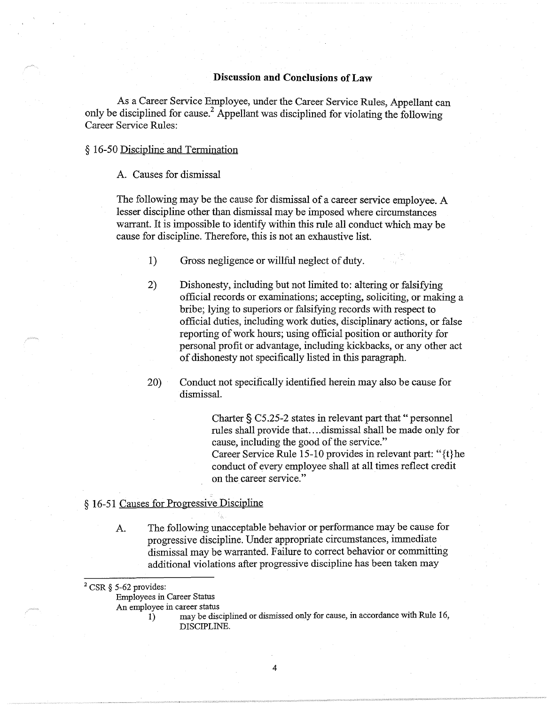# **Discussion and Conclusions of Law**

As a Career Service Employee, under the Career Service Rules, Appellant can only be disciplined for cause.<sup>2</sup> Appellant was disciplined for violating the following Career Service Rules:

## § 16-50 Discipline and Termination

# A. Causes for dismissal

The following may be the cause for dismissal of a career service employee. A lesser discipline other than dismissal may be imposed where circumstances warrant. It is impossible to identify within this rule all conduct which may be cause for discipline. Therefore, this is not an exhaustive list.

- 1) Gross negligence or willful neglect of duty.
- 2) Dishonesty, including but not limited to: altering or falsifying official records or examinations; accepting, soliciting, or making a bribe; lying to superiors or falsifying records with respect to official duties, including work duties, disciplinary actions, or false reporting of work hours; using official position or authority for personal profit or advantage, including kickbacks, or any other act of dishonesty not specifically listed in this paragraph.

20) Conduct not specifically identified herein may also be cause for dismissal.

> Charter§ *CS.25-2* states in relevant part that" personnel rules shall provide that .... dismissal shall be made only for cause, including the good of the service." Career Service Rule 15-10 provides in relevant part: " { t} he conduct of every employee shall at all times reflect credit on the career service."

# § 16-51 Causes for Progressive Discipline

A. The following unacceptable behavior or performance may be cause for progressive discipline. Under appropriate circumstances, immediate dismissal may be warranted. Failure to correct behavior or committing additional violations after progressive discipline has been taken may

 $2$  CSR § 5-62 provides:

Employees in Career Status

An employee in career status

- 
- 1) may be disciplined or dismissed only for cause, in accordance with Rule 16, DISCIPLINE.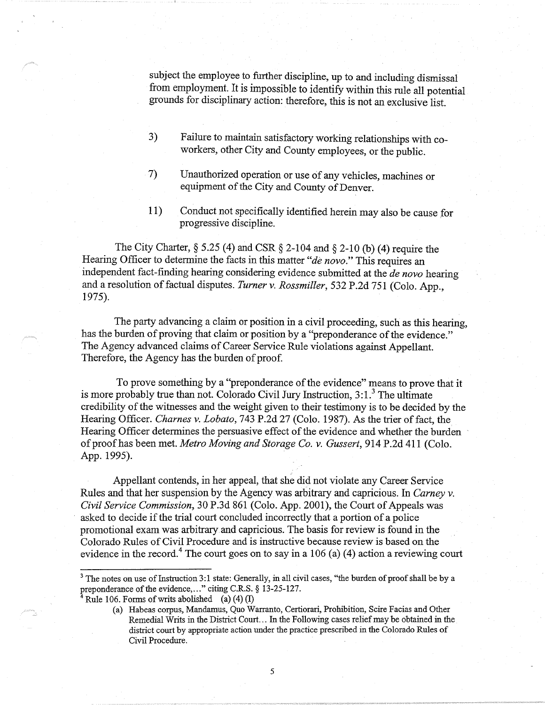subject the employee to further discipline, up to and including dismissal from employment. It is impossible to identify within this rule all potential grounds for disciplinary action: therefore, this is not an exclusive list.

- 3) Failure to maintain satisfactory working relationships with coworkers, other City and County employees, or the public.
- 7) Unauthorized operation or use of any vehicles, machines or equipment of the City and County of Denver.
- 11) Conduct not specifically identified herein may also be cause for progressive discipline.

The City Charter,  $\S$  5.25 (4) and CSR  $\S$  2-104 and  $\S$  2-10 (b) (4) require the Hearing Officer to determine the facts in this matter *"de nova."* This requires an independent fact-finding hearing considering evidence submitted at the *de nova* hearing and a resolution of factual disputes. *Turner v. Rossmiller,* 532 P.2d 751 (Colo. App., 1975).

The party advancing a claim or position in a civil proceeding, such as this hearing, has the burden of proving that claim or position by a "preponderance of the evidence." The Agency advanced claims of Career Service Rule violations against Appellant. Therefore, the Agency has the burden of proof.

To prove something by a "preponderance of the evidence" means to prove that it is more probably true than not. Colorado Civil Jury Instruction,  $3:1.^3$  The ultimate credibility of the witnesses and the weight given to their testimony is to be decided by the Hearing Officer. *Charnes v. Lobato,* 743 P.2d 27 (Colo. 1987). As the trier of fact, the Hearing Officer determines the persuasive effect of the evidence and whether the burden of proof has been met. *Metro Moving and Storage Co. v. Gussert,* 914 P.2d 411 (Colo. App. 1995).

Appellant contends, in her appeal, that she did not violate any Career Service Rules and that her suspension by the Agency was arbitrary and capricious. In *Carney v. Civil Service Commission,* 30 P.3d 861 (Colo. App. 2001), the Court of Appeals was asked to decide if the trial court concluded incorrectly that a portion of a police promotional exam was arbitrary and capricious. The basis for review is found in the Colorado Rules of Civil Procedure and is instructive because review is based on the evidence in the record.<sup>4</sup> The court goes on to say in a 106 (a) (4) action a reviewing court

<sup>&</sup>lt;sup>3</sup> The notes on use of Instruction 3:1 state: Generally, in all civil cases, "the burden of proof shall be by a preponderance of the evidence, ... " citing C.R.S. § 13-25-127.

<sup>&</sup>lt;sup>4</sup> Rule 106. Forms of writs abolished (a)  $(4)$  (I)

<sup>(</sup>a) Habeas corpus, Mandamus, Quo Warranto, Certiorari, Prohibition, Scire Facias and Other Remedial Writs in the District Court ... In the Following cases relief may be obtained in the district court by appropriate action under the practice prescribed in the Colorado Rules of Civil Procedure.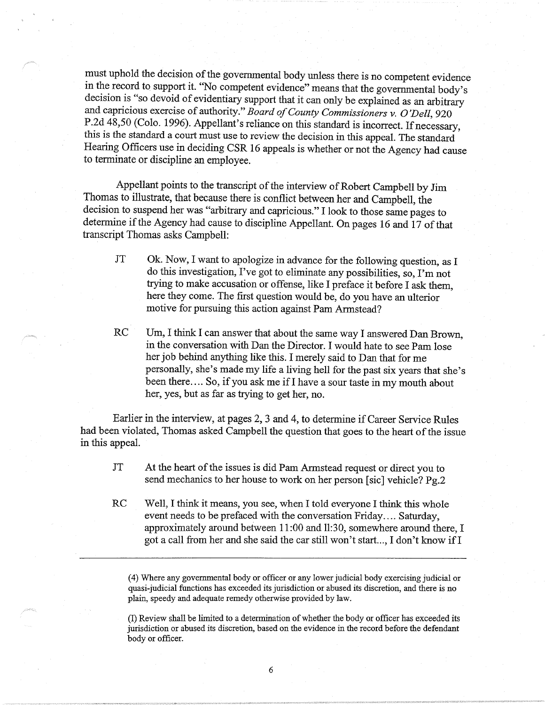must uphold the decision of the governmental body unless there is no competent evidence in the record to support it. "No competent evidence" means that the governmental body's decision is "so devoid of evidentiary support that it can only be explained as an arbitrary and capricious exercise of authority." *Board of County Commissioners v. O'Dell,* 920 P.2d 48,50 (Colo. 1996). Appellant's reliance on this standard is incorrect. If necessary, this is the standard a court must use to review the decision in this appeal. The standard Hearing Officers use in deciding CSR 16 appeals is whether or not the Agency had cause to terminate or discipline an employee.

Appellant points to the transcript of the interview of Robert Campbell by Jim Thomas to illustrate, that because there is conflict between her and Campbell, the decision to suspend her was "arbitrary and capricious." I look to those same pages to determine if the Agency had cause to discipline Appellant. On pages 16 and 17 of that transcript Thomas asks Campbell:

- JT Ok. Now, I want to apologize in advance for the following question, as I do this investigation, I've got to eliminate any possibilities, so, I'm not trying to make accusation or offense, like I preface it before I ask them, here they come. The first question would be, do you have an ulterior motive for pursuing this action against Pam Armstead?
- RC Um, I think I can answer that about the same way I answered Dan Brown, in the conversation with Dan the Director. I would hate to see Pam lose her job behind anything like this. I merely said to Dan that for me personally, she's made my life a living hell for the past six years that she's been there.... So, if you ask me if I have a sour taste in my mouth about her, yes, but as far as trying to get her, no.

Earlier in the interview, at pages 2, 3 and 4, to determine if Career Service Rules had been violated, Thomas asked Campbell the question that goes to the heart of the issue in this appeal.

- JT At the heart of the issues is did Pam Armstead request or direct you to send mechanics to her house to work on her person [sic] vehicle? Pg.2
- RC Well, I think it means, you see, when I told everyone I think this whole event needs to be prefaced with the conversation Friday.... Saturday, approximately around between 11 :00 and ll:30, somewhere around there, I got a call from her and she said the car still won't start..., I don't know if I

( 4) Where any governmental body or officer or any lower judicial body exercising judicial or quasi-judicial functions has exceeded its jurisdiction or abused its discretion, and there is no plain, speedy and adequate remedy otherwise provided by law.

(I) Review shall be limited to a determination of whether the body or officer has exceeded its jurisdiction or abused its discretion, based on the evidence in the record before the defendant body or officer.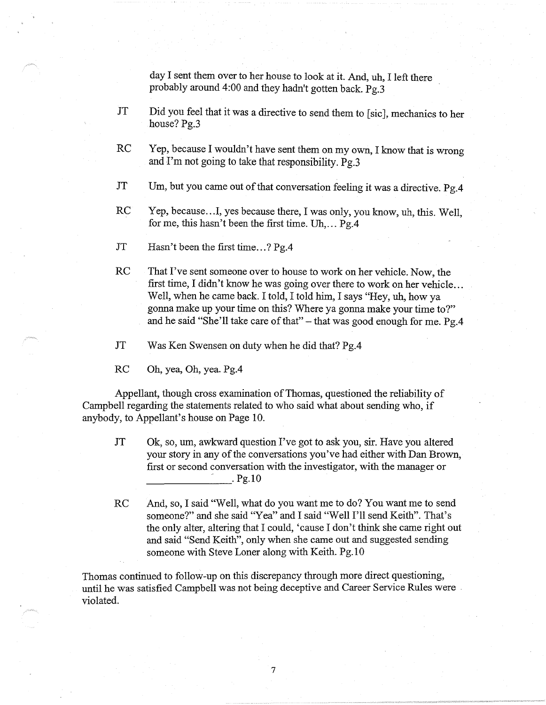day I sent them over to her house to look at it. And, uh, I left there probably around 4:00 and they hadn't gotten back. Pg.3

- JT Did you feel that it was a directive to send them to [sic], mechanics to her house? Pg.3
- RC Yep, because I wouldn't have sent them on my own, I know that is wrong and I'm not going to take that responsibility. Pg.3
- JT Um, but you came out of that conversation feeling it was a directive. Pg.4
- RC Yep, because...I, yes because there, I was only, you know, uh, this. Well, for me, this hasn't been the first time. Uh, ...  $Pg.4$
- JT Hasn't been the first time...? Pg.4
- RC That I've sent someone over to house to work on her vehicle. Now, the first time, I didn't know he was going over there to work on her vehicle ... Well, when he came back. I told, I told him, I says "Hey, uh, how ya gonna make up your time on this? Where ya gonna make your time to?" and he said "She'll take care of that"  $-$  that was good enough for me. Pg.4
- JT Was Ken Swensen on duty when he did that? Pg.4

RC Oh, yea, Oh, yea. Pg.4

Appellant, though cross examination of Thomas, questioned the reliability of Campbell regarding the statements related to who said what about sending who, if anybody, to Appellant's house on Page 10.

- JT Ok, so, um, awkward question I've got to ask you, sir. Have you altered your story in any of the conversations you've had either with Dan Brown, first or second conversation with the investigator, with the manager or<br>Pg.10
- RC And, so, I said "Well, what do you want me to do? You want me to send someone?" and she said ''Yea" and I said "Well I'll send Keith". That's the only alter, altering that I could, 'cause I don't think she came right out and said "Send Keith", only when she came out and suggested sending someone with Steve Loner along with Keith. Pg. 10

Thomas continued to follow-up on this discrepancy through more direct questioning, until he was satisfied Campbell was not being deceptive and Career Service Rules were . violated.

7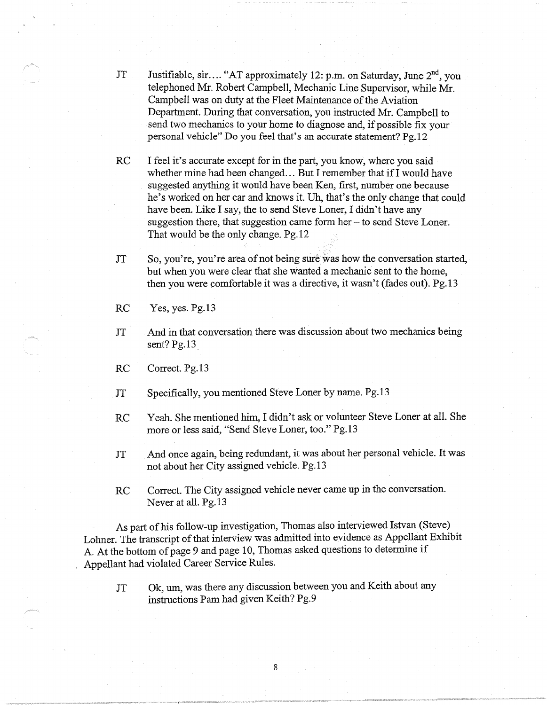- JT Justifiable, sir.... "AT approximately 12: p.m. on Saturday, June 2<sup>nd</sup>, you telephoned Mr. Robert Campbell, Mechanic Line Supervisor, while Mr. Campbell was on duty at the Fleet Maintenance of the Aviation Department. During that conversation, you instructed Mr. Campbell to send two mechanics to your home to diagnose and, if possible fix your personal vehicle" Do you feel that's an accurate statement? Pg.12
- RC I feel it's accurate except for in the part, you know, where you said whether mine had been changed... But I remember that if I would have suggested anything it would have been Ken, first, number one because he's worked on her car and knows it. Uh, that's the only change that could have been. Like I say, the to send Steve Loner, I didn't have any suggestion there, that suggestion came form her- to send Steve Loner. That would be the only change. Pg.12
- JT So, you're, you're area of not being sure was how the conversation started, but when you were clear that she wanted a mechanic sent to the home, then you were comfortable it was a directive, it wasn't (fades out). Pg.13
- RC Yes, yes. Pg.13
- JT And in that conversation there was discussion about two mechanics being sent?  $Pg.13$

RC Correct. Pg.13

- JT Specifically, you mentioned Steve Loner by name. Pg.13
- RC Yeah. She mentioned him, I didn't ask or volunteer Steve Loner at all. She more or less said, "Send Steve Loner, too." Pg.13
- JT And once again, being redundant, it was about her personal vehicle. It was not about her City assigned vehicle. Pg.13
- RC Correct. The City assigned vehicle never came up in the conversation. Never at all. Pg.13

As part of his follow-up investigation, Thomas also interviewed Istvan (Steve) Lohner. The transcript of that interview was admitted into evidence as Appellant Exhibit A. At the bottom of page 9 and page 10, Thomas asked questions to determine if Appellant had violated Career Service Rules.

JT Ok, um, was there any discussion between you and Keith about any instructions Pam had given Keith? Pg.9

8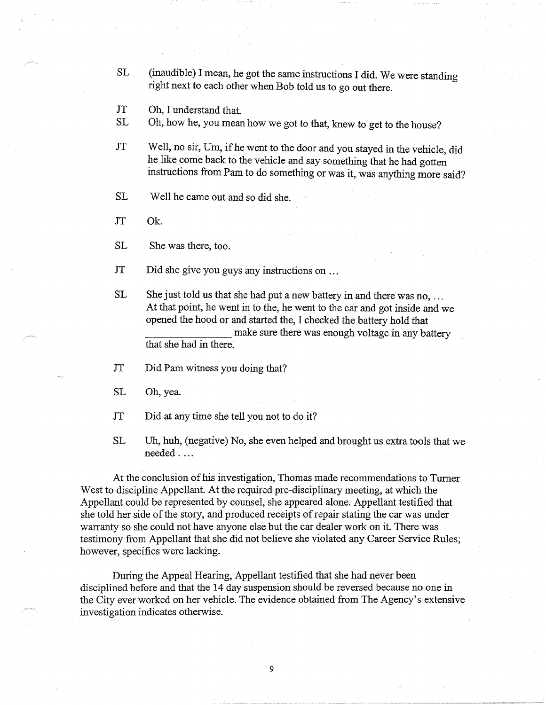- SL (inaudible) I mean, he got the same instructions I did. We were standing right next to each other when Bob told us to go out there.
- JT Oh, I understand that.
- SL Oh, how he, you mean how we got to that, knew to get to the house?
- JT Well, no sir, Um, if he went to the door and you stayed in the vehicle, did he like come back to the vehicle and say something that he had gotten instructions from Pam to do something or was it,, was anything more said?
- SL Well he came out and so did she.
- JT Ok.
- SL She was there, too.
- JT Did she give you guys any instructions on ...
- SL She just told us that she had put a new battery in and there was no, ... At that point, he went in to the, he went to the car and got inside and we opened the hood or and started the, I checked the battery hold that make sure there was enough voltage in any battery that she had in there.
- JT Did Pam witness you doing that?
- SL Oh, yea.
- JT Did at any time she tell you not to do it?
- SL Uh, huh, (negative) No, she even helped and brought us extra tools that we needed ....

At the conclusion of his investigation, Thomas made recommendations to Turner West to discipline Appellant. At the required pre-disciplinary meeting, at which the Appellant could be represented by counsel, she appeared alone. Appellant testified that she told her side of the story, and produced receipts of repair stating the car was under warranty so she could not have anyone else but the car dealer work on it. There was testimony from Appellant that she did not believe she violated any Career Service Rules; however, specifics were lacking.

During the Appeal Hearing, Appellant testified that she had never been disciplined before and that the 14 day suspension should be reversed because no one in the City ever worked on her vehicle. The evidence obtained from The Agency's extensive investigation indicates otherwise.